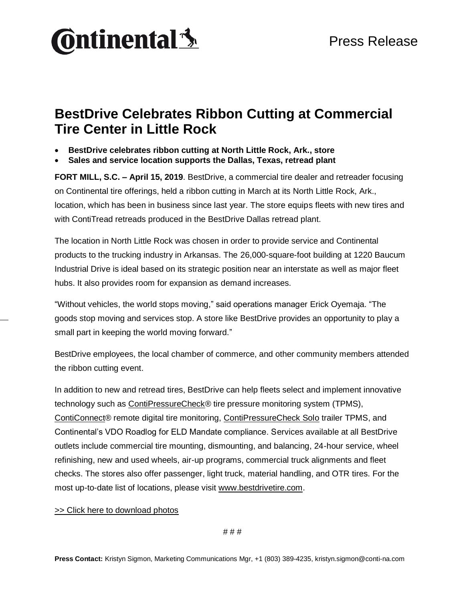

## **BestDrive Celebrates Ribbon Cutting at Commercial Tire Center in Little Rock**

- **BestDrive celebrates ribbon cutting at North Little Rock, Ark., store**
- **Sales and service location supports the Dallas, Texas, retread plant**

**FORT MILL, S.C. – April 15, 2019**. BestDrive, a commercial tire dealer and retreader focusing on Continental tire offerings, held a ribbon cutting in March at its North Little Rock, Ark., location, which has been in business since last year. The store equips fleets with new tires and with ContiTread retreads produced in the BestDrive Dallas retread plant.

The location in North Little Rock was chosen in order to provide service and Continental products to the trucking industry in Arkansas. The 26,000-square-foot building at 1220 Baucum Industrial Drive is ideal based on its strategic position near an interstate as well as major fleet hubs. It also provides room for expansion as demand increases.

"Without vehicles, the world stops moving," said operations manager Erick Oyemaja. "The goods stop moving and services stop. A store like BestDrive provides an opportunity to play a small part in keeping the world moving forward."

BestDrive employees, the local chamber of commerce, and other community members attended the ribbon cutting event.

In addition to new and retread tires, BestDrive can help fleets select and implement innovative technology such as [ContiPressureCheck®](https://www.continental-truck.com/truck/products/overview-product-lines/contipressurecheck) tire pressure monitoring system (TPMS), [ContiConnect®](https://www.continental-truck.com/truck/tire-monitoring/conticonnect) remote digital tire monitoring, [ContiPressureCheck Solo](https://www.continental-truck.com/truck/fleetsolutions/tire-monitoring/contitrailertpms) trailer TPMS, and Continental's VDO Roadlog for ELD Mandate compliance. Services available at all BestDrive outlets include commercial tire mounting, dismounting, and balancing, 24-hour service, wheel refinishing, new and used wheels, air-up programs, commercial truck alignments and fleet checks. The stores also offer passenger, light truck, material handling, and OTR tires. For the most up-to-date list of locations, please visit [www.bestdrivetire.com.](http://www.bestdrivetire.com/locations/)

## [>> Click here to download photos](https://conti-na.sharefile.com/d-sb462f0390e644369)

# # #